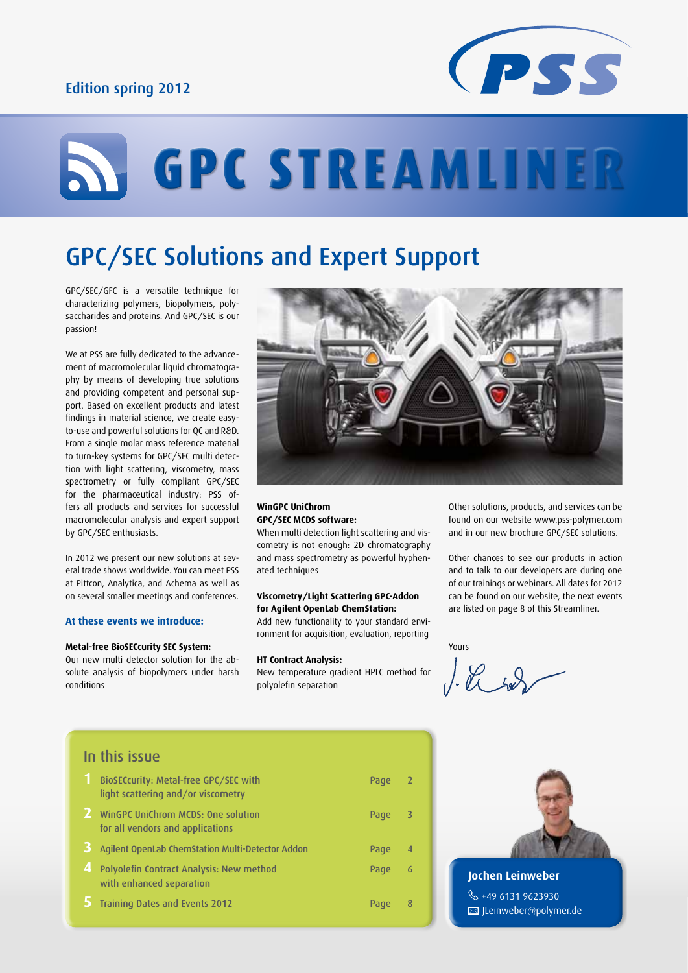## Edition spring 2012



# **STREAMLINER**

# GPC/SEC Solutions and Expert Support

GPC/SEC/GFC is a versatile technique for characterizing polymers, biopolymers, polysaccharides and proteins. And GPC/SEC is our passion!

We at PSS are fully dedicated to the advancement of macromolecular liquid chromatography by means of developing true solutions and providing competent and personal support. Based on excellent products and latest findings in material science, we create easyto-use and powerful solutions for QC and R&D. From a single molar mass reference material to turn-key systems for GPC/SEC multi detection with light scattering, viscometry, mass spectrometry or fully compliant GPC/SEC for the pharmaceutical industry: PSS offers all products and services for successful macromolecular analysis and expert support by GPC/SEC enthusiasts.

In 2012 we present our new solutions at several trade shows worldwide. You can meet PSS at Pittcon, Analytica, and Achema as well as on several smaller meetings and conferences.

#### **At these events we introduce:**

#### **Metal-free BioSECcurity SEC System:**

Our new multi detector solution for the absolute analysis of biopolymers under harsh conditions



#### **WinGPC UniChrom GPC/SEC MCDS software:**

When multi detection light scattering and viscometry is not enough: 2D chromatography and mass spectrometry as powerful hyphenated techniques

#### **Viscometry/Light Scattering GPC-Addon for Agilent OpenLab ChemStation:** Add new functionality to your standard envi-

ronment for acquisition, evaluation, reporting

#### **HT Contract Analysis:**

New temperature gradient HPLC method for polyolefin separation

Other solutions, products, and services can be found on our website www.pss-polymer.com and in our new brochure GPC/SEC solutions.

Other chances to see our products in action and to talk to our developers are during one of our trainings or webinars. All dates for 2012 can be found on our website, the next events are listed on page 8 of this Streamliner.

Yours

## In this issue

|   | BioSECcurity: Metal-free GPC/SEC with<br>light scattering and/or viscometry | Page | -2             |
|---|-----------------------------------------------------------------------------|------|----------------|
|   | WinGPC UniChrom MCDS: One solution<br>for all vendors and applications      | Page | - 3            |
|   | Agilent OpenLab ChemStation Multi-Detector Addon                            | Page | $\overline{4}$ |
| 4 | Polyolefin Contract Analysis: New method<br>with enhanced separation        | Page | 6              |
|   | <b>Training Dates and Events 2012</b>                                       | Page | 8              |



**Jochen Leinweber**  $\frac{6}{3}$  +49 6131 9623930 **E** JLeinweber@polymer.de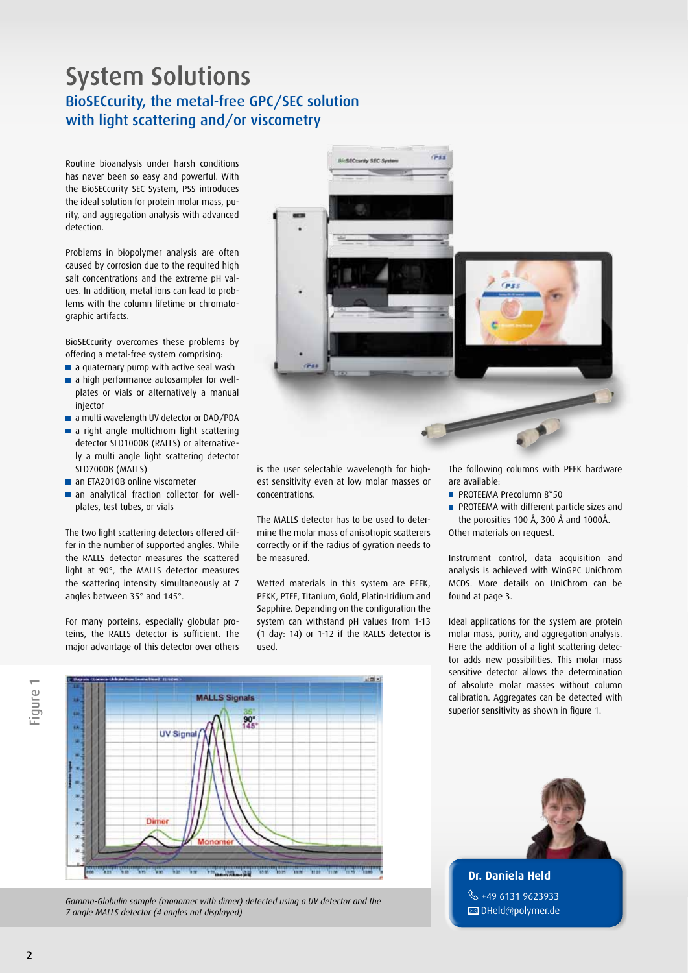## System Solutions BioSECcurity, the metal-free GPC/SEC solution with light scattering and/or viscometry

Routine bioanalysis under harsh conditions has never been so easy and powerful. With the BioSECcurity SEC System, PSS introduces the ideal solution for protein molar mass, purity, and aggregation analysis with advanced detection.

Problems in biopolymer analysis are often caused by corrosion due to the required high salt concentrations and the extreme pH values. In addition, metal ions can lead to problems with the column lifetime or chromatographic artifacts.

BioSECcurity overcomes these problems by offering a metal-free system comprising:

- a quaternary pump with active seal wash
- a high performance autosampler for wellplates or vials or alternatively a manual injector
- a multi wavelength UV detector or DAD/PDA
- a right angle multichrom light scattering detector SLD1000B (RALLS) or alternatively a multi angle light scattering detector SLD7000B (MALLS)
- an ETA2010B online viscometer
- an analytical fraction collector for wellplates, test tubes, or vials

The two light scattering detectors offered differ in the number of supported angles. While the RALLS detector measures the scattered light at 90°, the MALLS detector measures the scattering intensity simultaneously at 7 angles between 35° and 145°.

For many porteins, especially globular proteins, the RALLS detector is sufficient. The major advantage of this detector over others



is the user selectable wavelength for highest sensitivity even at low molar masses or concentrations.

The MALLS detector has to be used to determine the molar mass of anisotropic scatterers correctly or if the radius of gyration needs to be measured.

Wetted materials in this system are PEEK, PEKK, PTFE, Titanium, Gold, Platin-Iridium and Sapphire. Depending on the configuration the system can withstand pH values from 1-13 (1 day: 14) or 1-12 if the RALLS detector is used.

The following columns with PEEK hardware are available:

- **PROTEEMA Precolumn 8\*50**
- **PROTEEMA with different particle sizes and** the porosities 100 Å, 300 Å and 1000Å. Other materials on request.

Instrument control, data acquisition and analysis is achieved with WinGPC UniChrom MCDS. More details on UniChrom can be found at page 3.

Ideal applications for the system are protein molar mass, purity, and aggregation analysis. Here the addition of a light scattering detector adds new possibilities. This molar mass sensitive detector allows the determination of absolute molar masses without column calibration. Aggregates can be detected with superior sensitivity as shown in figure 1.



*Gamma-Globulin sample (monomer with dimer) detected using a UV detector and the 7 angle MALLS detector (4 angles not displayed)*



**Dr. Daniela Held**  $\%$  +49 6131 9623933  $\boxtimes$  DHeld@polymer.de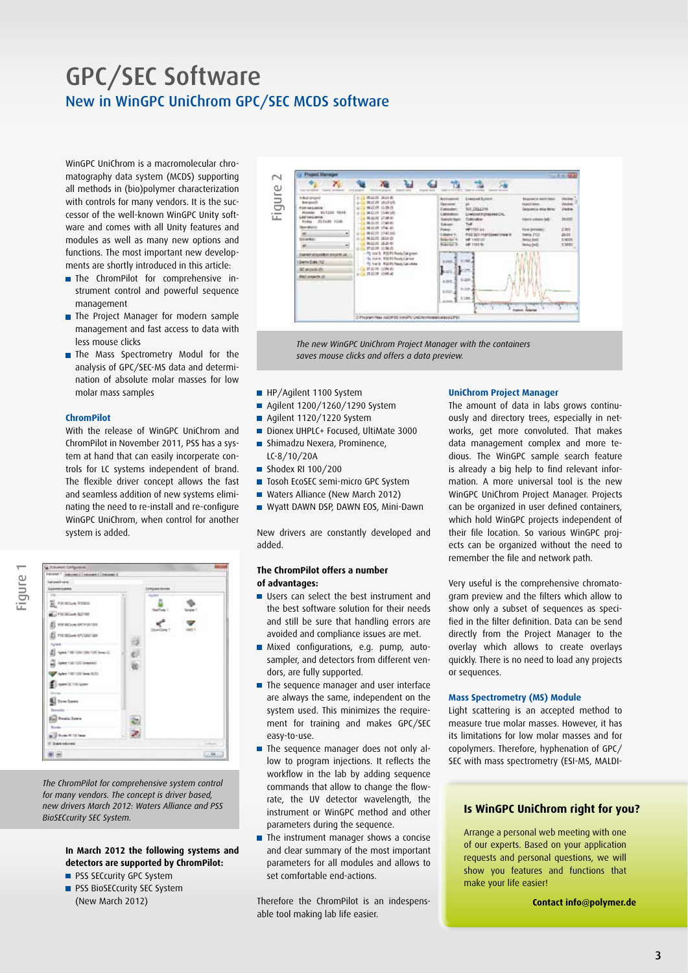## GPC/SEC Software New in WinGPC UniChrom GPC/SEC MCDS software

WinGPC UniChrom is a macromolecular chromatography data system (MCDS) supporting all methods in (bio)polymer characterization with controls for many vendors. It is the successor of the well-known WinGPC Unity software and comes with all Unity features and modules as well as many new options and functions. The most important new developments are shortly introduced in this article:

- **The ChromPilot for comprehensive in**strument control and powerful sequence management
- **The Project Manager for modern sample** management and fast access to data with less mouse clicks
- The Mass Spectrometry Modul for the analysis of GPC/SEC-MS data and determination of absolute molar masses for low molar mass samples

#### **ChromPilot**

With the release of WinGPC UniChrom and ChromPilot in November 2011, PSS has a system at hand that can easily incorperate controls for LC systems independent of brand. The flexible driver concept allows the fast and seamless addition of new systems eliminating the need to re-install and re-configure WinGPC UniChrom, when control for another system is added.



*The ChromPilot for comprehensive system control for many vendors. The concept is driver based, new drivers March 2012: Waters Alliance and PSS BioSECcurity SEC System.*

#### **In March 2012 the following systems and detectors are supported by ChromPilot:**

- **PSS SECcurity GPC System**
- **PSS BioSECcurity SEC System** (New March 2012)



*The new WinGPC UniChrom Project Manager with the containers saves mouse clicks and offers a data preview.*

- HP/Agilent 1100 System
- Agilent 1200/1260/1290 System
- Agilent 1120/1220 System
- Dionex UHPLC+ Focused, UltiMate 3000
- **Shimadzu Nexera, Prominence,** LC-8/10/20A
- Shodex RI 100/200
- Tosoh EcoSEC semi-micro GPC System
- Waters Alliance (New March 2012)
- Wyatt DAWN DSP, DAWN EOS, Mini-Dawn

New drivers are constantly developed and added.

#### **The ChromPilot offers a number of advantages:**

- Users can select the best instrument and the best software solution for their needs and still be sure that handling errors are avoided and compliance issues are met.
- Mixed configurations, e.g. pump, autosampler, and detectors from different vendors, are fully supported.
- **The sequence manager and user interface** are always the same, independent on the system used. This minimizes the requirement for training and makes GPC/SEC easy-to-use.
- The sequence manager does not only allow to program injections. It reflects the workflow in the lab by adding sequence commands that allow to change the flowrate, the UV detector wavelength, the instrument or WinGPC method and other parameters during the sequence.
- **The instrument manager shows a concise** and clear summary of the most important parameters for all modules and allows to set comfortable end-actions.

Therefore the ChromPilot is an indespensable tool making lab life easier.

#### **UniChrom Project Manager**

The amount of data in labs grows continuously and directory trees, especially in networks, get more convoluted. That makes data management complex and more tedious. The WinGPC sample search feature is already a big help to find relevant information. A more universal tool is the new WinGPC UniChrom Project Manager. Projects can be organized in user defined containers, which hold WinGPC projects independent of their file location. So various WinGPC projects can be organized without the need to remember the file and network path.

Very useful is the comprehensive chromatogram preview and the filters which allow to show only a subset of sequences as specified in the filter definition. Data can be send directly from the Project Manager to the overlay which allows to create overlays quickly. There is no need to load any projects or sequences.

#### **Mass Spectrometry (MS) Module**

Light scattering is an accepted method to measure true molar masses. However, it has its limitations for low molar masses and for copolymers. Therefore, hyphenation of GPC/ SEC with mass spectrometry (ESI-MS, MALDI-

#### **Is WinGPC UniChrom right for you?**

Arrange a personal web meeting with one of our experts. Based on your application requests and personal questions, we will show you features and functions that make your life easier!

**Contact info@polymer.de**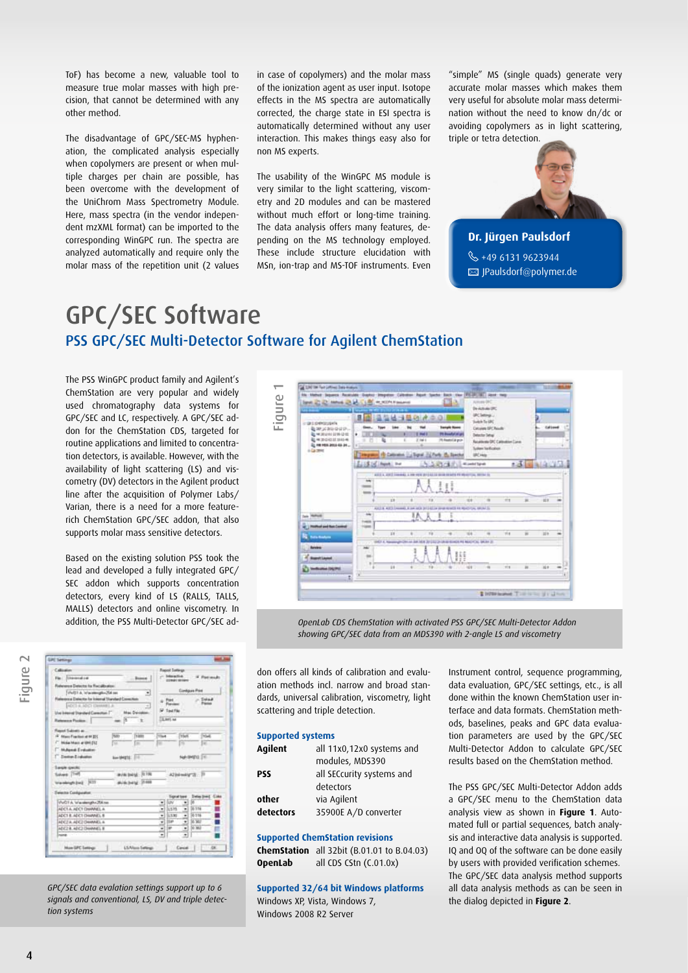ToF) has become a new, valuable tool to measure true molar masses with high precision, that cannot be determined with any other method.

The disadvantage of GPC/SEC-MS hyphenation, the complicated analysis especially when copolymers are present or when multiple charges per chain are possible, has been overcome with the development of the UniChrom Mass Spectrometry Module. Here, mass spectra (in the vendor independent mzXML format) can be imported to the corresponding WinGPC run. The spectra are analyzed automatically and require only the molar mass of the repetition unit (2 values in case of copolymers) and the molar mass of the ionization agent as user input. Isotope effects in the MS spectra are automatically corrected, the charge state in ESI spectra is automatically determined without any user interaction. This makes things easy also for non MS experts.

The usability of the WinGPC MS module is very similar to the light scattering, viscometry and 2D modules and can be mastered without much effort or long-time training. The data analysis offers many features, depending on the MS technology employed. These include structure elucidation with MSn, ion-trap and MS-TOF instruments. Even

"simple" MS (single quads) generate very accurate molar masses which makes them very useful for absolute molar mass determination without the need to know dn/dc or avoiding copolymers as in light scattering, triple or tetra detection.



#### **Dr. Jürgen Paulsdorf**

 $\%$  +49 6131 9623944  JPaulsdorf@polymer.de

## GPC/SEC Software PSS GPC/SEC Multi-Detector Software for Agilent ChemStation

The PSS WinGPC product family and Agilent's ChemStation are very popular and widely used chromatography data systems for GPC/SEC and LC, respectively. A GPC/SEC addon for the ChemStation CDS, targeted for routine applications and limited to concentration detectors, is available. However, with the availability of light scattering (LS) and viscometry (DV) detectors in the Agilent product line after the acquisition of Polymer Labs/ Varian, there is a need for a more featurerich ChemStation GPC/SEC addon, that also supports molar mass sensitive detectors.

Based on the existing solution PSS took the lead and developed a fully integrated GPC/ SEC addon which supports concentration detectors, every kind of LS (RALLS, TALLS, MALLS) detectors and online viscometry. In addition, the PSS Multi-Detector GPC/SEC ad-



| <b>GRE Settings</b>                                                                                                                                                              |             |                                                        |                  |                                        |   |
|----------------------------------------------------------------------------------------------------------------------------------------------------------------------------------|-------------|--------------------------------------------------------|------------------|----------------------------------------|---|
| Calicator<br>Fle   <i>Sharenadod</i><br>$$ Bases<br>Fisherena Detector ha Recalibulos:<br>Well11.A Warehough Cld on<br>∍                                                         |             | <b>Fapot Satirgs</b><br>between the<br><b>ODMAN 16</b> |                  | . W. Postmak<br><b>Contigues Print</b> |   |
| Flategory Detector for Internal Standard Constitute<br>∃<br>ADIT & MCI DAMARI &<br>Use Internal Standard Corection 7 New Devision<br>ass (6)<br><b>Reference Pacifica:</b><br>18 |             | $+22$<br><sup>SP</sup> Text File<br>3,845.64           |                  | $-5444$                                |   |
| Frank Subsets at                                                                                                                                                                 |             |                                                        |                  |                                        |   |
| <b>Furth</b><br>Trans<br><sup>(4)</sup> Stacc Fraction at \$8.225<br><sup>27</sup> Bridge Music at UNI (S2)<br>m<br>m<br><b>Muland Evaluation</b>                                | Titled<br>٠ |                                                        | <b>TOUR</b><br>m | <b>TYSAK</b><br>14                     |   |
| <sup>[1</sup> Dema-Erakaton<br>Nevangha: (10)                                                                                                                                    |             |                                                        |                  | Nel-Metho (19)                         |   |
| <b>Sarah smoks</b><br>Salvers T148<br><b>Write bring : (6.100)</b><br><b>AVAILANT 2144</b><br>translatight but 1477                                                              |             |                                                        |                  | Allegedard B                           |   |
| <b>Washin Configuration</b>                                                                                                                                                      |             | <b>Trage all fuent</b>                                 |                  | <b>Detailling</b> Cake                 |   |
| Vol21 A. Warehough / 254 res                                                                                                                                                     | ۰           | <b>IDV</b>                                             | ۰                |                                        |   |
| ADCT A VOCT DWAREL A                                                                                                                                                             | ٠           | 1575                                                   | ۰                | 0.116                                  |   |
| ADC1 R. ADC1 CHARACL B                                                                                                                                                           | ٠           | 1.1.31                                                 | ۰                | 0.116                                  | Ì |
| ADCTA ADCITOMAMELA                                                                                                                                                               | ž           | <b>Sat</b>                                             | ٠                | Si ser                                 |   |
| ADE2 & ADE2 DAMAGES #                                                                                                                                                            | ٠           | l ar                                                   | ٠                | lo won                                 |   |
| <b>Paint</b>                                                                                                                                                                     | ٠           |                                                        | ۰                |                                        |   |
|                                                                                                                                                                                  |             |                                                        |                  |                                        |   |

*GPC/SEC data evalation settings support up to 6 signals and conventional, LS, DV and triple detection systems*



*OpenLab CDS ChemStation with activated PSS GPC/SEC Multi-Detector Addon showing GPC/SEC data from an MDS390 with 2-angle LS and viscometry*

don offers all kinds of calibration and evaluation methods incl. narrow and broad standards, universal calibration, viscometry, light scattering and triple detection.

#### **Supported systems**

| <b>Agilent</b> | all 11x0,12x0 systems and |
|----------------|---------------------------|
|                | modules, MDS390           |
| PSS            | all SECcurity systems and |
|                | detectors                 |
| other          | via Agilent               |
| detectors      | 35900E A/D converter      |

#### **Supported ChemStation revisions**

**ChemStation** all 32bit (B.01.01 to B.04.03) **OpenLab** all CDS CStn (C.01.0x)

**Supported 32/64 bit Windows platforms** Windows XP, Vista, Windows 7, Windows 2008 R2 Server

Instrument control, sequence programming, data evaluation, GPC/SEC settings, etc., is all done within the known ChemStation user interface and data formats. ChemStation methods, baselines, peaks and GPC data evaluation parameters are used by the GPC/SEC Multi-Detector Addon to calculate GPC/SEC results based on the ChemStation method.

The PSS GPC/SEC Multi-Detector Addon adds a GPC/SEC menu to the ChemStation data analysis view as shown in **Figure 1**. Automated full or partial sequences, batch analysis and interactive data analysis is supported. IQ and OQ of the software can be done easily by users with provided verification schemes. The GPC/SEC data analysis method supports all data analysis methods as can be seen in the dialog depicted in **Figure 2**.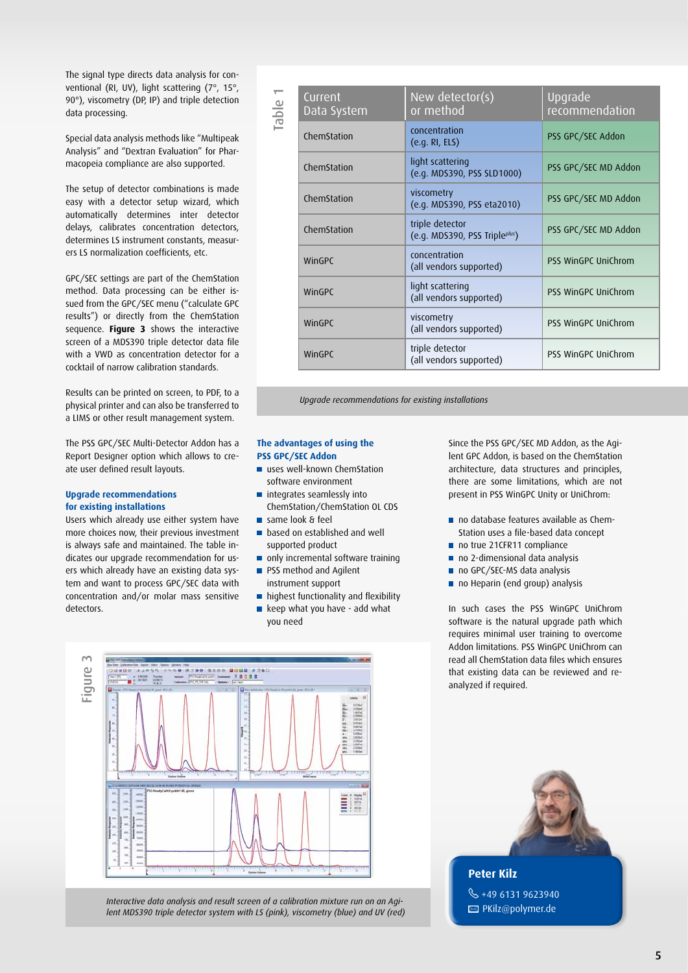The signal type directs data analysis for conventional (RI, UV), light scattering (7°, 15°, 90°), viscometry (DP, IP) and triple detection data processing.

Special data analysis methods like "Multipeak Analysis" and "Dextran Evaluation" for Pharmacopeia compliance are also supported.

The setup of detector combinations is made easy with a detector setup wizard, which automatically determines inter detector delays, calibrates concentration detectors, determines LS instrument constants, measurers LS normalization coefficients, etc.

GPC/SEC settings are part of the ChemStation method. Data processing can be either issued from the GPC/SEC menu ("calculate GPC results") or directly from the ChemStation sequence. **Figure 3** shows the interactive screen of a MDS390 triple detector data file with a VWD as concentration detector for a cocktail of narrow calibration standards.

Results can be printed on screen, to PDF, to a physical printer and can also be transferred to a LIMS or other result management system.

The PSS GPC/SEC Multi-Detector Addon has a Report Designer option which allows to create user defined result layouts.

#### **Upgrade recommendations for existing installations**

Users which already use either system have more choices now, their previous investment is always safe and maintained. The table indicates our upgrade recommendation for users which already have an existing data system and want to process GPC/SEC data with concentration and/or molar mass sensitive detectors.

| Current<br>Data System | New detector(s)<br>or method                     | Upgrade<br>recommendation |
|------------------------|--------------------------------------------------|---------------------------|
| ChemStation            | concentration<br>(e.q.RI, ELS)                   | PSS GPC/SEC Addon         |
| ChemStation            | light scattering<br>(e.g. MDS390, PSS SLD1000)   | PSS GPC/SEC MD Addon      |
| ChemStation            | viscometry<br>(e.g. MDS390, PSS eta2010)         | PSS GPC/SEC MD Addon      |
| ChemStation            | triple detector<br>(e.g. MDS390, PSS Tripleplus) | PSS GPC/SEC MD Addon      |
| WinGPC                 | concentration<br>(all vendors supported)         | PSS WinGPC UniChrom       |
| WinGPC                 | light scattering<br>(all vendors supported)      | PSS WinGPC UniChrom       |
| WinGPC                 | viscometry<br>(all vendors supported)            | PSS WinGPC UniChrom       |
| WinGPC                 | triple detector<br>(all vendors supported)       | PSS WinGPC UniChrom       |

*Upgrade recommendations for existing installations*

#### **The advantages of using the PSS GPC/SEC Addon**

- uses well-known ChemStation software environment
- **n** integrates seamlessly into ChemStation/ChemStation OL CDS
- same look & feel
- **based on established and well** supported product
- only incremental software training
- **PSS method and Agilent** instrument support
- highest functionality and flexibility
- keep what you have add what you need

Since the PSS GPC/SEC MD Addon, as the Agilent GPC Addon, is based on the ChemStation architecture, data structures and principles, there are some limitations, which are not present in PSS WinGPC Unity or UniChrom:

- no database features available as Chem-Station uses a file-based data concept
- no true 21CFR11 compliance
- no 2-dimensional data analysis
- no GPC/SEC-MS data analysis
- no Heparin (end group) analysis

In such cases the PSS WinGPC UniChrom software is the natural upgrade path which requires minimal user training to overcome Addon limitations. PSS WinGPC UniChrom can read all ChemStation data files which ensures that existing data can be reviewed and reanalyzed if required.



*Interactive data analysis and result screen of a calibration mixture run on an Agi-*



 $\%$  +49 6131 9623940 **E** PKilz@polymer.de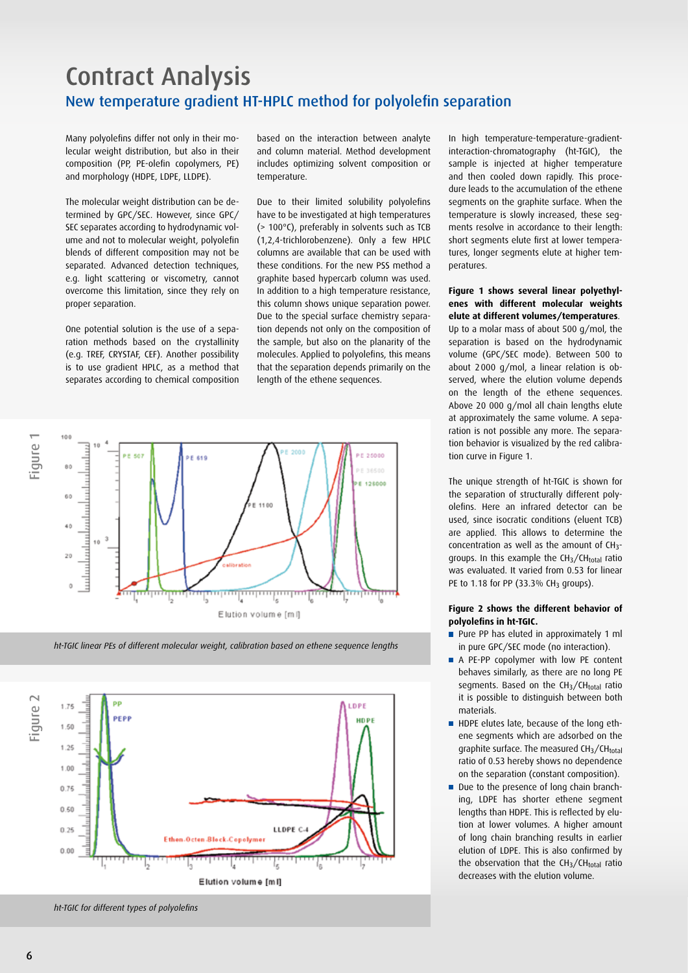## Contract Analysis New temperature gradient HT-HPLC method for polyolefin separation

Many polyolefins differ not only in their molecular weight distribution, but also in their composition (PP, PE-olefin copolymers, PE) and morphology (HDPE, LDPE, LLDPE).

The molecular weight distribution can be determined by GPC/SEC. However, since GPC/ SEC separates according to hydrodynamic volume and not to molecular weight, polyolefin blends of different composition may not be separated. Advanced detection techniques, e.g. light scattering or viscometry, cannot overcome this limitation, since they rely on proper separation.

One potential solution is the use of a separation methods based on the crystallinity (e.g. TREF, CRYSTAF, CEF). Another possibility is to use gradient HPLC, as a method that separates according to chemical composition

based on the interaction between analyte and column material. Method development includes optimizing solvent composition or temperature.

Due to their limited solubility polyolefins have to be investigated at high temperatures (> 100°C), preferably in solvents such as TCB (1,2,4-trichlorobenzene). Only a few HPLC columns are available that can be used with these conditions. For the new PSS method a graphite based hypercarb column was used. In addition to a high temperature resistance, this column shows unique separation power. Due to the special surface chemistry separation depends not only on the composition of the sample, but also on the planarity of the molecules. Applied to polyolefins, this means that the separation depends primarily on the length of the ethene sequences.



*ht-TGIC linear PEs of different molecular weight, calibration based on ethene sequence lengths*



*ht-TGIC for different types of polyolefins*

In high temperature-temperature-gradientinteraction-chromatography (ht-TGIC), the sample is injected at higher temperature and then cooled down rapidly. This procedure leads to the accumulation of the ethene segments on the graphite surface. When the temperature is slowly increased, these segments resolve in accordance to their length: short segments elute first at lower temperatures, longer segments elute at higher temperatures.

#### **Figure 1 shows several linear polyethylenes with different molecular weights elute at different volumes/temperatures**.

Up to a molar mass of about 500 g/mol, the separation is based on the hydrodynamic volume (GPC/SEC mode). Between 500 to about 2000 g/mol, a linear relation is observed, where the elution volume depends on the length of the ethene sequences. Above 20 000 g/mol all chain lengths elute at approximately the same volume. A separation is not possible any more. The separation behavior is visualized by the red calibration curve in Figure 1.

The unique strength of ht-TGIC is shown for the separation of structurally different polyolefins. Here an infrared detector can be used, since isocratic conditions (eluent TCB) are applied. This allows to determine the concentration as well as the amount of CH3 groups. In this example the CH<sub>3</sub>/CH<sub>total</sub> ratio was evaluated. It varied from 0.53 for linear PE to 1.18 for PP (33.3% CH<sub>3</sub> groups).

#### **Figure 2 shows the different behavior of polyolefins in ht-TGIC.**

- Pure PP has eluted in approximately 1 ml in pure GPC/SEC mode (no interaction).
- A PE-PP copolymer with low PE content behaves similarly, as there are no long PE segments. Based on the  $CH<sub>3</sub>/CH<sub>total</sub>$  ratio it is possible to distinguish between both materials.
- HDPE elutes late, because of the long ethene segments which are adsorbed on the graphite surface. The measured  $CH<sub>3</sub>/CH<sub>total</sub>$ ratio of 0.53 hereby shows no dependence on the separation (constant composition).
- Due to the presence of long chain branching, LDPE has shorter ethene segment lengths than HDPE. This is reflected by elution at lower volumes. A higher amount of long chain branching results in earlier elution of LDPE. This is also confirmed by the observation that the  $CH<sub>3</sub>/CH<sub>total</sub>$  ratio decreases with the elution volume.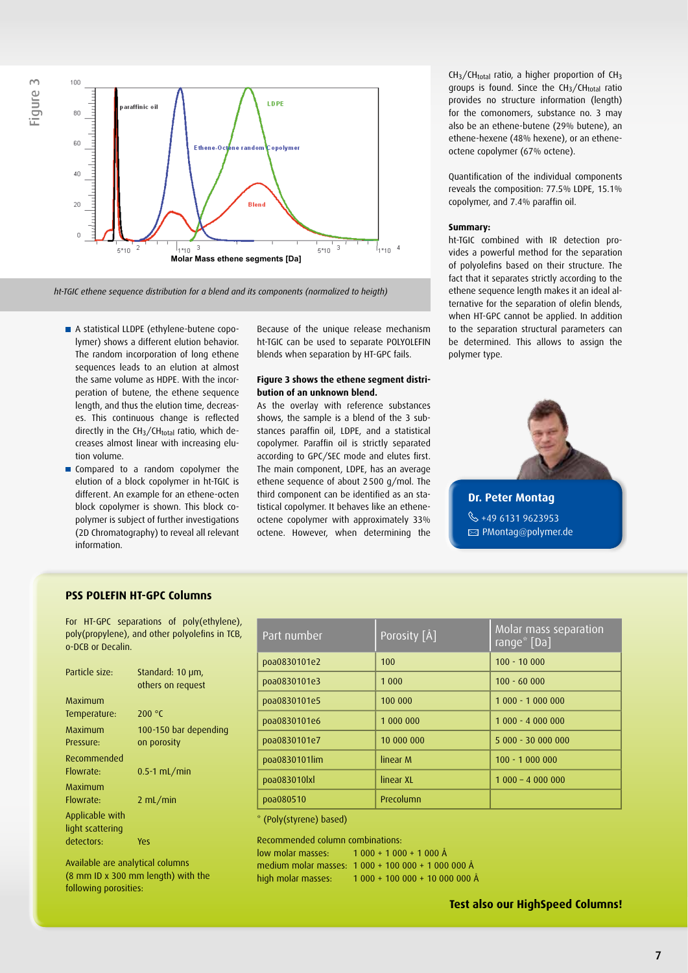



*ht-TGIC ethene sequence distribution for a blend and its components (normalized to heigth)*

- A statistical LLDPE (ethylene-butene copolymer) shows a different elution behavior. The random incorporation of long ethene sequences leads to an elution at almost the same volume as HDPE. With the incorperation of butene, the ethene sequence length, and thus the elution time, decreases. This continuous change is reflected directly in the  $CH<sub>3</sub>/CH<sub>total</sub>$  ratio, which decreases almost linear with increasing elution volume.
- Compared to a random copolymer the elution of a block copolymer in ht-TGIC is different. An example for an ethene-octen block copolymer is shown. This block copolymer is subject of further investigations (2D Chromatography) to reveal all relevant information.

Because of the unique release mechanism ht-TGIC can be used to separate POlyoLEFIN blends when separation by HT-GPC fails.

#### **Figure 3 shows the ethene segment distribution of an unknown blend.**

As the overlay with reference substances shows, the sample is a blend of the 3 substances paraffin oil, LDPE, and a statistical copolymer. Paraffin oil is strictly separated according to GPC/SEC mode and elutes first. The main component, LDPE, has an average ethene sequence of about 2500 g/mol. The third component can be identified as an statistical copolymer. It behaves like an etheneoctene copolymer with approximately 33% octene. However, when determining the  $CH<sub>3</sub>/CH<sub>total</sub>$  ratio, a higher proportion of  $CH<sub>3</sub>$ groups is found. Since the  $CH<sub>3</sub>/CH<sub>total</sub>$  ratio provides no structure information (length) for the comonomers, substance no. 3 may also be an ethene-butene (29% butene), an ethene-hexene (48% hexene), or an etheneoctene copolymer (67% octene).

Quantification of the individual components reveals the composition: 77.5% LDPE, 15.1% copolymer, and 7.4% paraffin oil.

#### **Summary:**

ht-TGIC combined with IR detection provides a powerful method for the separation of polyolefins based on their structure. The fact that it separates strictly according to the ethene sequence length makes it an ideal alternative for the separation of olefin blends, when HT-GPC cannot be applied. In addition to the separation structural parameters can be determined. This allows to assign the polymer type.



#### **PSS Polefin HT-GPC Columns**

For HT-GPC separations of poly(ethylene), poly(propylene), and other polyolefins in TCB, o-DCB or Decalin.

| Particle size:                 | Standard: 10 µm,<br>others on request |
|--------------------------------|---------------------------------------|
| Maximum                        |                                       |
| Temperature:                   | 200 $\degree$ C                       |
| Maximum                        | 100-150 bar depending                 |
| Pressure:                      | on porosity                           |
| Recommended                    |                                       |
| Flowrate:                      | $0.5-1$ mL/min                        |
| Maximum                        |                                       |
| Flowrate:                      | $2 \mathrm{mL/min}$                   |
| Applicable with                |                                       |
| light scattering<br>detectors: | Υρς                                   |
|                                |                                       |

Available are analytical columns (8 mm ID x 300 mm length) with the

following porosities:

Porosity [Å] Molar mass separation range\* [Da] Part number poa0830101e2 100 100 100 100 100 1000 poa0830101e3 1 000 100 100 - 60 000 poa0830101e5 100 000 1000 1000 1000 000 poa0830101e6 1 000 000 1 000 - 4 000 000 poa0830101e7 | 10 000 000 | 5 000 - 30 000 000 poa0830101lim linear M 100 - 1 000 000 poa083010lxl linear XL 1 000 – 4 000 000 poa080510 Precolumn

(Poly(styrene) based)

Recommended column combinations:

low molar masses: 1 000 + 1 000 + 1 000 Å medium molar masses: 1 000 + 100 000 + 1 000 000 Å high molar masses: 1 000 + 100 000 + 10 000 000 Å

**Test also our HighSpeed Columns!**